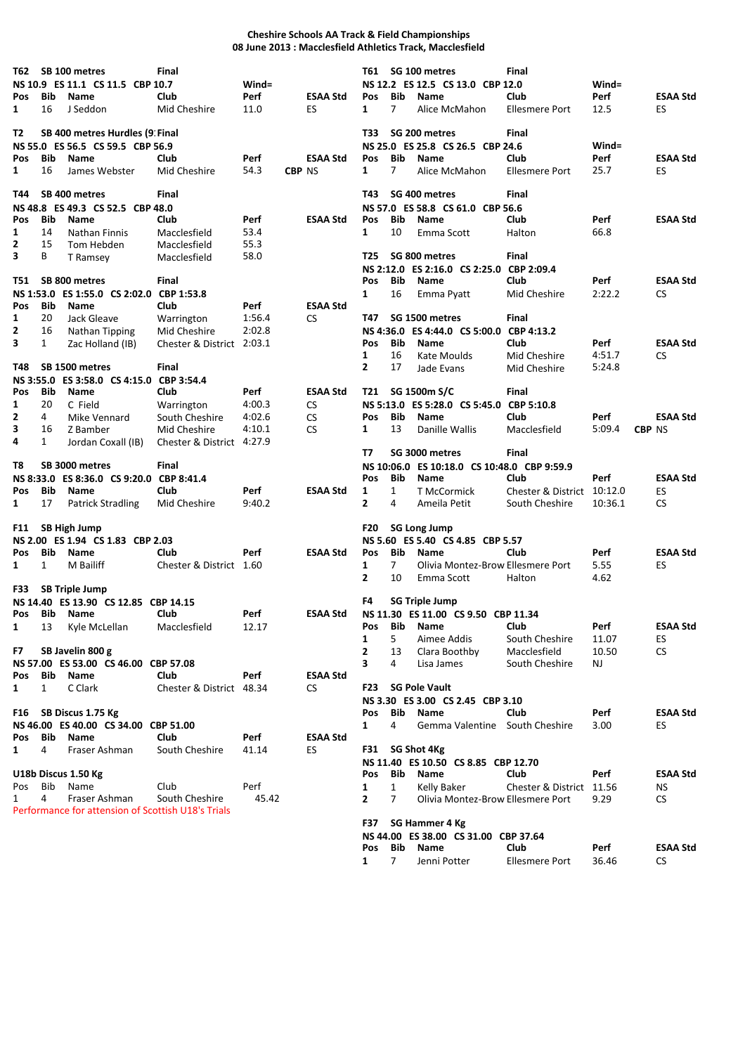## **Cheshire Schools AA Track & Field Championships 08 June 2013 : Macclesfield Athletics Track, Macclesfield**

| T62 -        |              | SB 100 metres<br>NS 10.9 ES 11.1 CS 11.5 CBP 10.7  | Final                        | Wind=  |                 |                  |                   | T61 SG 100 metres<br>NS 12.2 ES 12.5 CS 13.0 CBP 12.0 | Final                      | Wind=            |               |                 |
|--------------|--------------|----------------------------------------------------|------------------------------|--------|-----------------|------------------|-------------------|-------------------------------------------------------|----------------------------|------------------|---------------|-----------------|
| Pos          | Bib          | Name                                               | Club                         | Perf   | <b>ESAA Std</b> | <b>Pos</b>       | <b>Bib</b>        | <b>Name</b>                                           | Club                       | Perf             |               | <b>ESAA Std</b> |
| 1            | 16           | J Seddon                                           | Mid Cheshire                 | 11.0   | ES              | 1                | $\overline{7}$    | Alice McMahon                                         | Ellesmere Port             | 12.5             | ES            |                 |
| T2           |              | SB 400 metres Hurdles (9 Final                     |                              |        |                 | T33              |                   | SG 200 metres                                         | Final                      |                  |               |                 |
|              |              | NS 55.0 ES 56.5 CS 59.5 CBP 56.9                   |                              |        |                 |                  |                   | NS 25.0 ES 25.8 CS 26.5 CBP 24.6                      |                            | $Wind =$         |               |                 |
| <b>Pos</b>   | Bib          | <b>Name</b>                                        | Club                         | Perf   | <b>ESAA Std</b> | <b>Pos</b>       | <b>Bib</b>        | <b>Name</b>                                           | Club                       | Perf             |               | <b>ESAA Std</b> |
| 1            | 16           | James Webster                                      | Mid Cheshire                 | 54.3   | <b>CBP NS</b>   | 1                | 7                 | Alice McMahon                                         | <b>Ellesmere Port</b>      | 25.7             | ES            |                 |
| T44          |              | SB 400 metres                                      | <b>Final</b>                 |        |                 | T43              |                   | SG 400 metres                                         | Final                      |                  |               |                 |
|              |              | NS 48.8 ES 49.3 CS 52.5 CBP 48.0                   |                              |        |                 |                  |                   | NS 57.0 ES 58.8 CS 61.0 CBP 56.6                      |                            |                  |               |                 |
| Pos          | Bib          | Name                                               | Club                         | Perf   | <b>ESAA Std</b> | Pos              | Bib               | Name                                                  | Club                       | Perf             |               | <b>ESAA Std</b> |
| 1            | 14           | <b>Nathan Finnis</b>                               | Macclesfield                 | 53.4   |                 | $\mathbf{1}$     | 10                | Emma Scott                                            | Halton                     | 66.8             |               |                 |
| 2            | 15           | Tom Hebden                                         | Macclesfield                 | 55.3   |                 |                  |                   |                                                       |                            |                  |               |                 |
| 3            | В            | T Ramsey                                           | Macclesfield                 | 58.0   |                 | T25              |                   | SG 800 metres                                         | <b>Final</b>               |                  |               |                 |
|              |              |                                                    |                              |        |                 |                  |                   | NS 2:12.0 ES 2:16.0 CS 2:25.0                         | CBP 2:09.4                 |                  |               |                 |
| T51          |              | SB 800 metres                                      | Final                        |        |                 | Pos              | <b>Bib</b>        | Name                                                  | Club                       | Perf             |               | <b>ESAA Std</b> |
|              |              | NS 1:53.0 ES 1:55.0 CS 2:02.0                      | CBP 1:53.8                   |        |                 | 1                | 16                | Emma Pyatt                                            | Mid Cheshire               | 2:22.2           | <b>CS</b>     |                 |
| Pos          | Bib          | Name                                               | Club                         | Perf   | <b>ESAA Std</b> |                  |                   |                                                       |                            |                  |               |                 |
| 1            | 20           | Jack Gleave                                        | Warrington                   | 1:56.4 | CS              | T47              |                   | SG 1500 metres                                        | Final                      |                  |               |                 |
| 2            | 16           | Nathan Tipping                                     | Mid Cheshire                 | 2:02.8 |                 | <b>NS 4:36.0</b> |                   | ES 4:44.0 CS 5:00.0                                   | CBP 4:13.2                 |                  |               |                 |
| 3            | $\mathbf{1}$ | Zac Holland (IB)                                   | Chester & District 2:03.1    |        |                 | <b>Pos</b>       | Bib               | <b>Name</b>                                           | Club                       | Perf             |               | <b>ESAA Std</b> |
| T48          |              | SB 1500 metres                                     | Final                        |        |                 | 1<br>2           | 16<br>17          | Kate Moulds                                           | Mid Cheshire               | 4:51.7<br>5:24.8 | <b>CS</b>     |                 |
|              |              |                                                    |                              |        |                 |                  |                   | Jade Evans                                            | Mid Cheshire               |                  |               |                 |
| <b>Pos</b>   | Bib          | NS 3:55.0 ES 3:58.0 CS 4:15.0<br>Name              | CBP 3:54.4<br>Club           | Perf   | <b>ESAA Std</b> | T21              |                   | SG 1500m S/C                                          | Final                      |                  |               |                 |
|              | 20           | C Field                                            |                              | 4:00.3 |                 |                  |                   |                                                       | CBP 5:10.8                 |                  |               |                 |
| 1<br>2       | 4            | Mike Vennard                                       | Warrington<br>South Cheshire | 4:02.6 | <b>CS</b><br>CS | Pos              | Bib               | NS 5:13.0 ES 5:28.0 CS 5:45.0<br>Name                 | Club                       | Perf             |               | <b>ESAA Std</b> |
| 3            | 16           | Z Bamber                                           | Mid Cheshire                 | 4:10.1 | <b>CS</b>       | 1                | 13                | Danille Wallis                                        | Macclesfield               | 5:09.4           | <b>CBP NS</b> |                 |
| 4            | 1            | Jordan Coxall (IB)                                 | Chester & District 4:27.9    |        |                 |                  |                   |                                                       |                            |                  |               |                 |
|              |              |                                                    |                              |        |                 | T7               |                   | SG 3000 metres                                        | Final                      |                  |               |                 |
| T8           |              | SB 3000 metres                                     | Final                        |        |                 |                  | <b>NS 10:06.0</b> | ES 10:18.0 CS 10:48.0 CBP 9:59.9                      |                            |                  |               |                 |
|              |              | NS 8:33.0 ES 8:36.0 CS 9:20.0 CBP 8:41.4           |                              |        |                 | Pos              | Bib               | Name                                                  | Club                       | Perf             |               | <b>ESAA Std</b> |
| Pos          | Bib          | Name                                               | Club                         | Perf   | <b>ESAA Std</b> | 1                | $\mathbf{1}$      | T McCormick                                           | Chester & District 10:12.0 |                  | ES            |                 |
| 1            | 17           | <b>Patrick Stradling</b>                           | Mid Cheshire                 | 9:40.2 |                 | 2                | 4                 | Ameila Petit                                          | South Cheshire             | 10:36.1          | <b>CS</b>     |                 |
|              |              |                                                    |                              |        |                 |                  |                   |                                                       |                            |                  |               |                 |
| F11          |              | <b>SB High Jump</b>                                |                              |        |                 | <b>F20</b>       |                   | <b>SG Long Jump</b>                                   |                            |                  |               |                 |
|              |              | NS 2.00 ES 1.94 CS 1.83 CBP 2.03                   |                              |        |                 |                  |                   | NS 5.60 ES 5.40 CS 4.85 CBP 5.57                      |                            |                  |               |                 |
| Pos          | Bib          | <b>Name</b>                                        | Club                         | Perf   | <b>ESAA Std</b> | Pos              | <b>Bib</b>        | <b>Name</b>                                           | Club                       | Perf             |               | <b>ESAA Std</b> |
| 1            | 1            | M Bailiff                                          | Chester & District 1.60      |        |                 | 1                | $\overline{7}$    | Olivia Montez-Brow Ellesmere Port                     |                            | 5.55             | ES            |                 |
|              |              |                                                    |                              |        |                 | $\mathbf{2}$     | 10                | Emma Scott                                            | Halton                     | 4.62             |               |                 |
| <b>F33</b>   |              | <b>SB Triple Jump</b>                              |                              |        |                 |                  |                   |                                                       |                            |                  |               |                 |
|              |              | NS 14.40 ES 13.90 CS 12.85 CBP 14.15               |                              |        |                 | F4               |                   | <b>SG Triple Jump</b>                                 |                            |                  |               |                 |
| Pos          | Bib          | Name                                               | Club                         | Perf   | <b>ESAA Std</b> |                  |                   | NS 11.30 ES 11.00 CS 9.50 CBP 11.34                   |                            |                  |               |                 |
| $\mathbf{1}$ | 13           | Kyle McLellan                                      | Macclesfield                 | 12.17  |                 | Pos              | <b>Bib</b>        | Name                                                  | Club                       | Perf             |               | <b>ESAA Std</b> |
|              |              |                                                    |                              |        |                 | 1                | 5                 | Aimee Addis                                           | South Cheshire             | 11.07            | ES            |                 |
| F7           |              | SB Javelin 800 g                                   |                              |        |                 | 2                | 13                | Clara Boothby                                         | Macclesfield               | 10.50            | <b>CS</b>     |                 |
|              | Bib          | NS 57.00 ES 53.00 CS 46.00 CBP 57.08               | Club                         |        | <b>ESAA Std</b> | 3                | 4                 | Lisa James                                            | South Cheshire             | NJ               |               |                 |
| Pos          |              | Name                                               |                              | Perf   |                 | F23              |                   | <b>SG Pole Vault</b>                                  |                            |                  |               |                 |
| 1            | 1            | C Clark                                            | Chester & District 48.34     |        | <b>CS</b>       |                  |                   | NS 3.30 ES 3.00 CS 2.45 CBP 3.10                      |                            |                  |               |                 |
| F16          |              | SB Discus 1.75 Kg                                  |                              |        |                 | Pos              | Bib               | Name                                                  | Club                       | Perf             |               | <b>ESAA Std</b> |
|              |              | NS 46.00 ES 40.00 CS 34.00 CBP 51.00               |                              |        |                 | $\mathbf{1}$     | 4                 | Gemma Valentine South Cheshire                        |                            | 3.00             | ES            |                 |
| Pos          | Bib          | Name                                               | Club                         | Perf   | <b>ESAA Std</b> |                  |                   |                                                       |                            |                  |               |                 |
| 1            | 4            | Fraser Ashman                                      | South Cheshire               | 41.14  | ES              |                  |                   | F31 SG Shot 4Kg                                       |                            |                  |               |                 |
|              |              |                                                    |                              |        |                 |                  |                   | NS 11.40 ES 10.50 CS 8.85 CBP 12.70                   |                            |                  |               |                 |
|              |              | U18b Discus 1.50 Kg                                |                              |        |                 | Pos              | Bib               | Name                                                  | Club                       | Perf             |               | <b>ESAA Std</b> |
| Pos          | Bib          | Name                                               | Club                         | Perf   |                 | 1                | $\mathbf{1}$      | Kelly Baker                                           | Chester & District 11.56   |                  | ΝS            |                 |
| 1            | 4            | Fraser Ashman                                      | South Cheshire               | 45.42  |                 | 2                | $\overline{7}$    | Olivia Montez-Brow Ellesmere Port                     |                            | 9.29             | CS.           |                 |
|              |              | Performance for attension of Scottish U18's Trials |                              |        |                 |                  |                   |                                                       |                            |                  |               |                 |
|              |              |                                                    |                              |        |                 | F37              |                   | SG Hammer 4 Kg                                        |                            |                  |               |                 |
|              |              |                                                    |                              |        |                 |                  |                   | NS 44.00 ES 38.00 CS 31.00 CBP 37.64                  |                            |                  |               |                 |
|              |              |                                                    |                              |        |                 | Pos              | Bib               | Name                                                  | Club                       | Perf             |               | <b>ESAA Std</b> |
|              |              |                                                    |                              |        |                 | $\mathbf{1}$     | $\overline{7}$    | Jenni Potter                                          | <b>Ellesmere Port</b>      | 36.46            | CS.           |                 |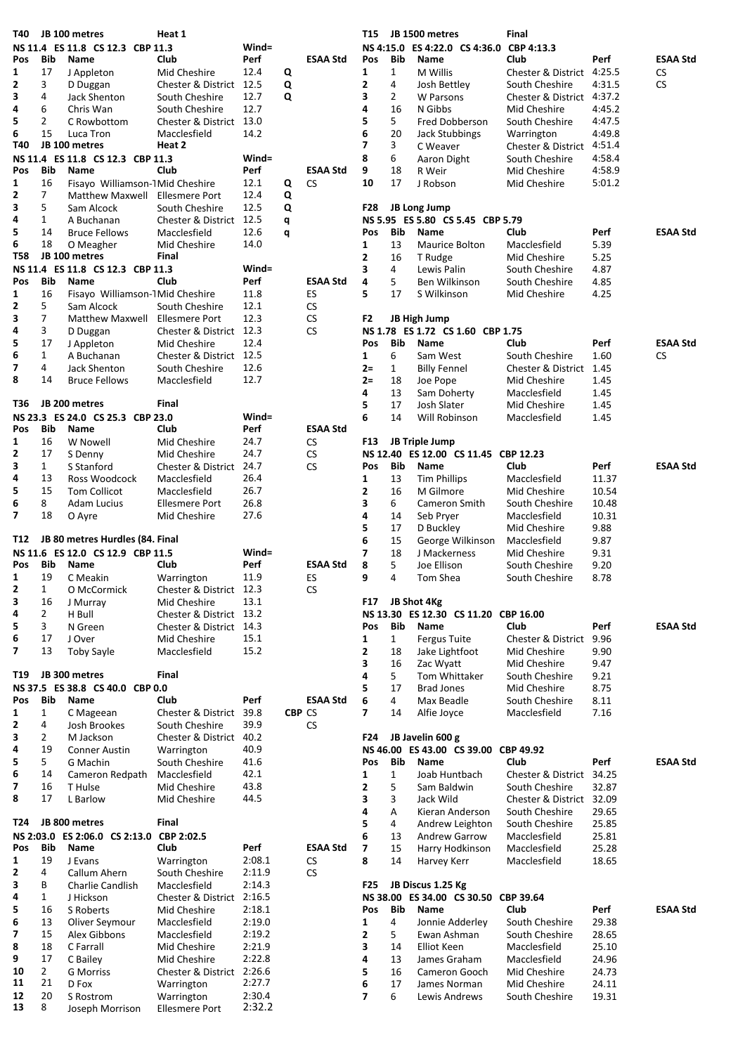| T40                     |                    | JB 100 metres                                   | Heat 1                                |          |               |                  | T15              |              | JB 1500 metres                       | Final                                       |                |                 |
|-------------------------|--------------------|-------------------------------------------------|---------------------------------------|----------|---------------|------------------|------------------|--------------|--------------------------------------|---------------------------------------------|----------------|-----------------|
|                         |                    | NS 11.4 ES 11.8 CS 12.3 CBP 11.3                |                                       | Wind=    |               |                  | <b>NS 4:15.0</b> |              | ES 4:22.0 CS 4:36.0                  | CBP 4:13.3                                  |                |                 |
| Pos                     | Bib                | <b>Name</b>                                     | Club                                  | Perf     |               | <b>ESAA Std</b>  | Pos              | Bib          | <b>Name</b>                          | Club                                        | Perf           | <b>ESAA Std</b> |
| 1                       | 17                 | J Appleton                                      | Mid Cheshire                          | 12.4     | Q             |                  | 1                | $\mathbf{1}$ | M Willis                             | Chester & District 4:25.5                   |                | <b>CS</b>       |
| 2                       | 3                  | D Duggan                                        | Chester & District 12.5               |          | Q             |                  | 2                | 4            | Josh Bettley                         | South Cheshire                              | 4:31.5         | <b>CS</b>       |
| 3                       | 4                  | Jack Shenton                                    | South Cheshire                        | 12.7     | Q             |                  | 3                | 2            | <b>W</b> Parsons                     | Chester & District 4:37.2                   |                |                 |
| 4                       | 6                  | Chris Wan                                       | South Cheshire                        | 12.7     |               |                  | 4                | 16           | N Gibbs                              | Mid Cheshire                                | 4:45.2         |                 |
| 5                       | $\overline{2}$     | C Rowbottom                                     | Chester & District 13.0               |          |               |                  | 5                | 5            | Fred Dobberson                       | South Cheshire                              | 4:47.5         |                 |
| 6<br>T40                | 15                 | Luca Tron<br>JB 100 metres                      | Macclesfield<br>Heat 2                | 14.2     |               |                  | 6<br>7           | 20<br>3      | <b>Jack Stubbings</b>                | Warrington                                  | 4:49.8         |                 |
|                         |                    | NS 11.4 ES 11.8 CS 12.3 CBP 11.3                |                                       | Wind=    |               |                  | 8                | 6            | C Weaver<br>Aaron Dight              | Chester & District 4:51.4<br>South Cheshire | 4:58.4         |                 |
| Pos                     | <b>Bib</b>         | Name                                            | Club                                  | Perf     |               | <b>ESAA Std</b>  | 9                | 18           | R Weir                               | Mid Cheshire                                | 4:58.9         |                 |
| 1                       | 16                 | Fisayo Williamson-1 Mid Cheshire                |                                       | 12.1     | Q             | CS.              | 10               | 17           | J Robson                             | Mid Cheshire                                | 5:01.2         |                 |
| 2                       | 7                  | <b>Matthew Maxwell</b>                          | <b>Ellesmere Port</b>                 | 12.4     | Q             |                  |                  |              |                                      |                                             |                |                 |
| 3                       | 5                  | Sam Alcock                                      | South Cheshire                        | 12.5     | Q             |                  | F28              |              | JB Long Jump                         |                                             |                |                 |
| 4                       | $\mathbf{1}$       | A Buchanan                                      | Chester & District 12.5               |          | q             |                  |                  |              | NS 5.95 ES 5.80 CS 5.45 CBP 5.79     |                                             |                |                 |
| 5                       | 14                 | <b>Bruce Fellows</b>                            | Macclesfield                          | 12.6     | q             |                  | Pos              | Bib          | Name                                 | Club                                        | Perf           | <b>ESAA Std</b> |
| 6                       | 18                 | O Meagher                                       | Mid Cheshire                          | 14.0     |               |                  | 1                | 13           | Maurice Bolton                       | Macclesfield                                | 5.39           |                 |
| <b>T58</b>              |                    | JB 100 metres                                   | Final                                 |          |               |                  | 2                | 16           | T Rudge                              | Mid Cheshire                                | 5.25           |                 |
|                         |                    | NS 11.4 ES 11.8 CS 12.3 CBP 11.3                |                                       | $Wind =$ |               |                  | 3                | 4            | Lewis Palin                          | South Cheshire                              | 4.87           |                 |
| Pos                     | Bib                | <b>Name</b>                                     | Club                                  | Perf     |               | <b>ESAA Std</b>  | 4                | 5            | Ben Wilkinson                        | South Cheshire                              | 4.85           |                 |
| $\mathbf{1}$            | 16                 | Fisayo Williamson-1 Mid Cheshire                |                                       | 11.8     |               | ES               | 5.               | 17           | S Wilkinson                          | Mid Cheshire                                | 4.25           |                 |
| 2                       | 5                  | Sam Alcock                                      | South Cheshire                        | 12.1     |               | CS.              |                  |              |                                      |                                             |                |                 |
| 3                       | 7                  | Matthew Maxwell                                 | <b>Ellesmere Port</b>                 | 12.3     |               | СS               | F2               |              | JB High Jump                         |                                             |                |                 |
| 4                       | 3                  | D Duggan                                        | Chester & District 12.3               |          |               | <b>CS</b>        |                  |              | NS 1.78 ES 1.72 CS 1.60 CBP 1.75     |                                             |                |                 |
| 5                       | 17                 | J Appleton                                      | Mid Cheshire                          | 12.4     |               |                  | Pos              | Bib          | Name                                 | Club                                        | Perf           | <b>ESAA Std</b> |
| 6                       | $\mathbf{1}$       | A Buchanan                                      | Chester & District 12.5               |          |               |                  | 1                | 6            | Sam West                             | South Cheshire                              | 1.60           | <b>CS</b>       |
| 7                       | 4                  | Jack Shenton                                    | South Cheshire                        | 12.6     |               |                  | $2 =$            | $\mathbf{1}$ | <b>Billy Fennel</b>                  | Chester & District 1.45                     |                |                 |
| 8                       | 14                 | <b>Bruce Fellows</b>                            | Macclesfield                          | 12.7     |               |                  | $2 =$            | 18           | Joe Pope                             | Mid Cheshire                                | 1.45           |                 |
|                         |                    |                                                 |                                       |          |               |                  | 4                | 13           | Sam Doherty                          | Macclesfield                                | 1.45           |                 |
| T36                     |                    | JB 200 metres                                   | Final                                 |          |               |                  | 5                | 17           | Josh Slater                          | Mid Cheshire                                | 1.45           |                 |
|                         |                    | NS 23.3 ES 24.0 CS 25.3 CBP 23.0                |                                       | $Wind =$ |               |                  | 6                | 14           | Will Robinson                        | Macclesfield                                | 1.45           |                 |
| Pos                     | Bib                | Name                                            | Club                                  | Perf     |               | <b>ESAA Std</b>  |                  |              |                                      |                                             |                |                 |
| 1                       | 16                 | W Nowell                                        | Mid Cheshire                          | 24.7     |               | CS.              | F13              |              | JB Triple Jump                       |                                             |                |                 |
| 2                       | 17                 | S Denny                                         | Mid Cheshire                          | 24.7     |               | <b>CS</b>        |                  |              | NS 12.40 ES 12.00 CS 11.45 CBP 12.23 |                                             |                |                 |
| 3                       | $\mathbf{1}$       | S Stanford                                      | Chester & District 24.7               |          |               | CS.              | Pos              | Bib          | <b>Name</b>                          | Club                                        | Perf           | <b>ESAA Std</b> |
| 4                       | 13                 | Ross Woodcock                                   | Macclesfield                          | 26.4     |               |                  | 1                | 13           | <b>Tim Phillips</b>                  | Macclesfield                                | 11.37          |                 |
| 5                       | 15                 | Tom Collicot                                    | Macclesfield                          | 26.7     |               |                  | 2                | 16           | M Gilmore                            | Mid Cheshire                                | 10.54          |                 |
| 6                       | 8                  | <b>Adam Lucius</b>                              | <b>Ellesmere Port</b>                 | 26.8     |               |                  | 3                | 6            | Cameron Smith                        | South Cheshire                              | 10.48          |                 |
| $\overline{\mathbf{z}}$ | 18                 | O Ayre                                          | Mid Cheshire                          | 27.6     |               |                  | 4                | 14           | Seb Pryer                            | Macclesfield                                | 10.31          |                 |
|                         |                    |                                                 |                                       |          |               |                  | 5                | 17           | D Buckley                            | Mid Cheshire                                | 9.88           |                 |
| T12                     |                    | JB 80 metres Hurdles (84. Final                 |                                       |          |               |                  | 6                | 15           | George Wilkinson                     | Macclesfield                                | 9.87           |                 |
| Pos                     |                    | NS 11.6 ES 12.0 CS 12.9 CBP 11.5<br><b>Name</b> |                                       | Wind=    |               |                  | 7                | 18           | J Mackerness                         | Mid Cheshire                                | 9.31           |                 |
| 1                       | Bib<br>19          |                                                 | Club                                  | Perf     |               | <b>ESAA Std</b>  | 8<br>9           | 5<br>4       | Joe Ellison                          | South Cheshire                              | 9.20           |                 |
| $\mathbf{2}$            | $\mathbf{1}$       | C Meakin<br>O McCormick                         | Warrington<br>Chester & District 12.3 | 11.9     |               | ES<br>${\sf CS}$ |                  |              | Tom Shea                             | South Cheshire                              | 8.78           |                 |
| 3                       | 16                 |                                                 | Mid Cheshire                          | 13.1     |               |                  | F17              |              | JB Shot 4Kg                          |                                             |                |                 |
| 4                       | $\overline{2}$     | J Murray<br>H Bull                              | Chester & District 13.2               |          |               |                  |                  |              | NS 13.30 ES 12.30 CS 11.20 CBP 16.00 |                                             |                |                 |
| 5                       | 3                  | N Green                                         | Chester & District 14.3               |          |               |                  | Pos              | Bib          | Name                                 | Club                                        | Perf           | <b>ESAA Std</b> |
| 6                       | 17                 | J Over                                          | Mid Cheshire                          | 15.1     |               |                  | 1                | $\mathbf{1}$ | <b>Fergus Tuite</b>                  | <b>Chester &amp; District</b>               | 9.96           |                 |
| 7                       | 13                 | Toby Sayle                                      | Macclesfield                          | 15.2     |               |                  | 2                | 18           | Jake Lightfoot                       | Mid Cheshire                                | 9.90           |                 |
|                         |                    |                                                 |                                       |          |               |                  | 3                | 16           | Zac Wyatt                            | Mid Cheshire                                | 9.47           |                 |
| T19                     |                    | JB 300 metres                                   | Final                                 |          |               |                  | 4                | 5            | Tom Whittaker                        | South Cheshire                              | 9.21           |                 |
|                         |                    | NS 37.5 ES 38.8 CS 40.0 CBP 0.0                 |                                       |          |               |                  | 5                | 17           | <b>Brad Jones</b>                    | Mid Cheshire                                | 8.75           |                 |
| Pos                     | <b>Bib</b>         | Name                                            | Club                                  | Perf     |               | <b>ESAA Std</b>  | 6                | 4            | Max Beadle                           | South Cheshire                              | 8.11           |                 |
| 1                       | 1                  | C Mageean                                       | Chester & District 39.8               |          | <b>CBP CS</b> |                  | 7                | 14           | Alfie Joyce                          | Macclesfield                                | 7.16           |                 |
| 2                       | 4                  | Josh Brookes                                    | South Cheshire                        | 39.9     |               | <b>CS</b>        |                  |              |                                      |                                             |                |                 |
| 3                       | $\overline{2}$     | M Jackson                                       | Chester & District                    | 40.2     |               |                  | F24              |              | JB Javelin 600 g                     |                                             |                |                 |
| 4                       | 19                 | <b>Conner Austin</b>                            | Warrington                            | 40.9     |               |                  |                  |              | NS 46.00 ES 43.00 CS 39.00 CBP 49.92 |                                             |                |                 |
| 5                       | 5                  | G Machin                                        | South Cheshire                        | 41.6     |               |                  | Pos              | Bib          | Name                                 | Club                                        | Perf           | <b>ESAA Std</b> |
| 6                       | 14                 | Cameron Redpath                                 | Macclesfield                          | 42.1     |               |                  | 1                | $\mathbf{1}$ | Joab Huntbach                        | Chester & District 34.25                    |                |                 |
| 7                       | 16                 | T Hulse                                         | Mid Cheshire                          | 43.8     |               |                  | 2                | 5            | Sam Baldwin                          | South Cheshire                              | 32.87          |                 |
| 8                       | 17                 | L Barlow                                        | Mid Cheshire                          | 44.5     |               |                  | 3                | 3            | Jack Wild                            | Chester & District 32.09                    |                |                 |
|                         |                    |                                                 |                                       |          |               |                  | 4                | Α            | Kieran Anderson                      | South Cheshire                              | 29.65          |                 |
| T24                     |                    | JB 800 metres                                   | Final                                 |          |               |                  | 5                | 4            | Andrew Leighton                      | South Cheshire                              | 25.85          |                 |
|                         |                    | NS 2:03.0 ES 2:06.0 CS 2:13.0 CBP 2:02.5        |                                       |          |               |                  | 6                | 13           | Andrew Garrow                        | Macclesfield                                | 25.81          |                 |
| Pos                     | Bib                | Name                                            | Club                                  | Perf     |               | <b>ESAA Std</b>  | 7                | 15           | Harry Hodkinson                      | Macclesfield                                | 25.28          |                 |
| 1                       | 19                 | J Evans                                         | Warrington                            | 2:08.1   |               | <b>CS</b>        | 8                | 14           | Harvey Kerr                          | Macclesfield                                | 18.65          |                 |
| 2                       | 4                  | Callum Ahern                                    | South Cheshire                        | 2:11.9   |               | <b>CS</b>        |                  |              |                                      |                                             |                |                 |
| 3                       | В                  | Charlie Candlish                                | Macclesfield                          | 2:14.3   |               |                  | F25              |              | JB Discus 1.25 Kg                    |                                             |                |                 |
| 4                       | 1                  | J Hickson                                       | Chester & District 2:16.5             |          |               |                  |                  |              | NS 38.00 ES 34.00 CS 30.50 CBP 39.64 |                                             |                |                 |
| 5                       | 16                 | S Roberts                                       | Mid Cheshire                          | 2:18.1   |               |                  | Pos              | Bib          | Name                                 | Club                                        | Perf           | <b>ESAA Std</b> |
| 6                       | 13                 | Oliver Seymour                                  | Macclesfield                          | 2:19.0   |               |                  | 1                | 4            | Jonnie Adderley                      | South Cheshire                              | 29.38          |                 |
| 7                       | 15                 | Alex Gibbons                                    | Macclesfield                          | 2:19.2   |               |                  | 2                | 5            | Ewan Ashman                          | South Cheshire                              | 28.65          |                 |
| 8                       | 18                 | C Farrall                                       | Mid Cheshire                          | 2:21.9   |               |                  | 3                | 14           | <b>Elliot Keen</b>                   | Macclesfield                                | 25.10          |                 |
| 9                       | 17                 | C Bailey                                        | Mid Cheshire                          | 2:22.8   |               |                  | 4                | 13           | James Graham                         | Macclesfield                                | 24.96          |                 |
| 10<br>11                | $\mathbf{2}$<br>21 | <b>G Morriss</b>                                | Chester & District 2:26.6             | 2:27.7   |               |                  | 5                | 16           | Cameron Gooch                        | Mid Cheshire                                | 24.73          |                 |
| 12                      | 20                 | D Fox<br>S Rostrom                              | Warrington<br>Warrington              | 2:30.4   |               |                  | 6<br>7           | 17<br>6      | James Norman<br>Lewis Andrews        | Mid Cheshire<br>South Cheshire              | 24.11<br>19.31 |                 |
| 13                      | 8                  | Joseph Morrison                                 | <b>Ellesmere Port</b>                 | 2:32.2   |               |                  |                  |              |                                      |                                             |                |                 |
|                         |                    |                                                 |                                       |          |               |                  |                  |              |                                      |                                             |                |                 |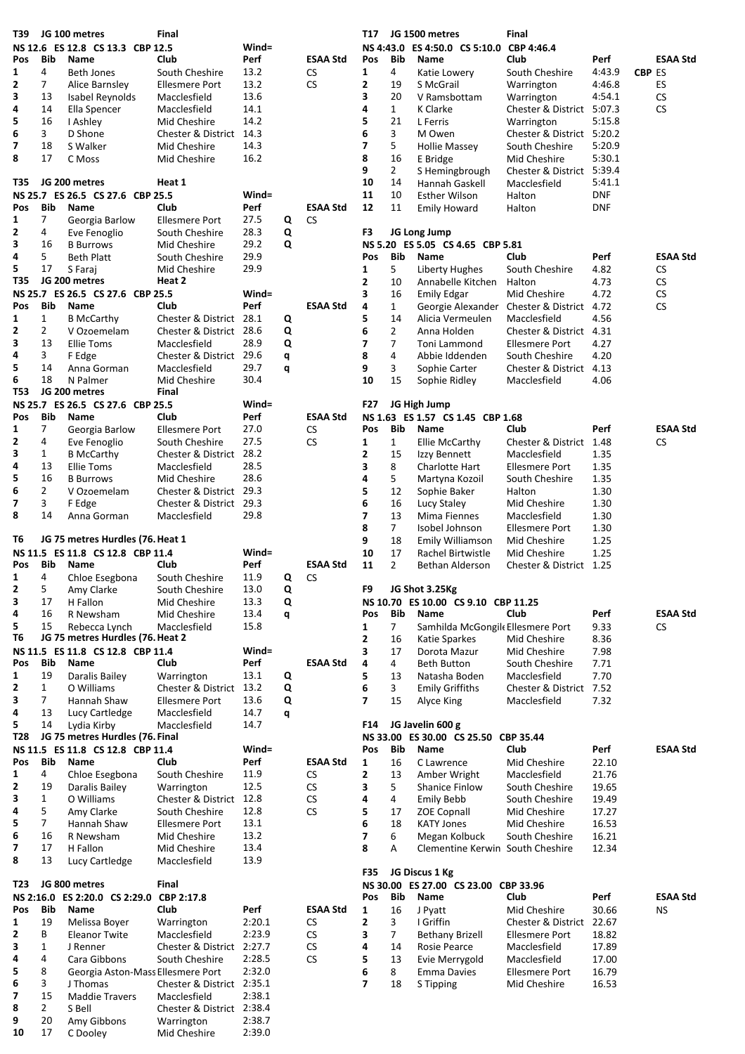| T39        |                                | JG 100 metres                            | Final                                     |              |        |                 | T17                      |                                  | JG 1500 metres                       | <b>Final</b>                            |                |               |                 |
|------------|--------------------------------|------------------------------------------|-------------------------------------------|--------------|--------|-----------------|--------------------------|----------------------------------|--------------------------------------|-----------------------------------------|----------------|---------------|-----------------|
|            |                                | NS 12.6 ES 12.8 CS 13.3 CBP 12.5         |                                           | Wind=        |        |                 | <b>NS 4:43.0</b>         |                                  | ES 4:50.0 CS 5:10.0                  | CBP 4:46.4                              |                |               |                 |
| Pos        | Bib                            | Name                                     | Club                                      | Perf         |        | <b>ESAA Std</b> | Pos                      | Bib                              | <b>Name</b>                          | Club                                    | Perf           |               | <b>ESAA Std</b> |
| 1          | 4                              | <b>Beth Jones</b>                        | South Cheshire                            | 13.2         |        | <b>CS</b>       | 1                        | 4                                | Katie Lowery                         | South Cheshire                          | 4:43.9         | <b>CBP ES</b> |                 |
| 2          | $\overline{7}$                 | Alice Barnsley                           | <b>Ellesmere Port</b>                     | 13.2         |        | <b>CS</b>       | 2                        | 19                               | S McGrail                            | Warrington                              | 4:46.8         |               | ES              |
| 3          | 13                             | Isabel Reynolds                          | Macclesfield                              | 13.6         |        |                 | 3                        | 20                               | V Ramsbottam                         | Warrington                              | 4:54.1         |               | <b>CS</b>       |
| 4<br>5     | 14<br>16                       | Ella Spencer                             | Macclesfield                              | 14.1<br>14.2 |        |                 | 4<br>5                   | $\mathbf{1}$<br>21               | K Clarke                             | Chester & District 5:07.3               | 5:15.8         |               | <b>CS</b>       |
| 6          | 3                              | I Ashley<br>D Shone                      | Mid Cheshire<br>Chester & District 14.3   |              |        |                 | 6                        | 3                                | L Ferris<br>M Owen                   | Warrington<br>Chester & District 5:20.2 |                |               |                 |
| 7          | 18                             | S Walker                                 | Mid Cheshire                              | 14.3         |        |                 | 7                        | 5                                | <b>Hollie Massey</b>                 | South Cheshire                          | 5:20.9         |               |                 |
| 8          | 17                             | C Moss                                   | Mid Cheshire                              | 16.2         |        |                 | 8                        | 16                               | E Bridge                             | Mid Cheshire                            | 5:30.1         |               |                 |
|            |                                |                                          |                                           |              |        |                 | 9                        | $\overline{2}$                   | S Hemingbrough                       | Chester & District 5:39.4               |                |               |                 |
| T35        |                                | JG 200 metres                            | Heat 1                                    |              |        |                 | 10                       | 14                               | Hannah Gaskell                       | Macclesfield                            | 5:41.1         |               |                 |
|            |                                | NS 25.7 ES 26.5 CS 27.6 CBP 25.5         |                                           | Wind=        |        |                 | 11                       | 10                               | Esther Wilson                        | Halton                                  | <b>DNF</b>     |               |                 |
| Pos        | Bib                            | Name                                     | Club                                      | Perf         |        | <b>ESAA Std</b> | 12                       | 11                               | <b>Emily Howard</b>                  | Halton                                  | <b>DNF</b>     |               |                 |
| 1          | 7                              | Georgia Barlow                           | <b>Ellesmere Port</b>                     | 27.5         | Q      | <b>CS</b>       |                          |                                  |                                      |                                         |                |               |                 |
| 2          | 4                              | Eve Fenoglio                             | South Cheshire                            | 28.3         | Q      |                 | F3                       |                                  | JG Long Jump                         |                                         |                |               |                 |
| 3          | 16                             | <b>B</b> Burrows                         | Mid Cheshire                              | 29.2         | Q      |                 |                          |                                  | NS 5.20 ES 5.05 CS 4.65 CBP 5.81     |                                         |                |               |                 |
| 4          | 5                              | <b>Beth Platt</b>                        | South Cheshire                            | 29.9         |        |                 | Pos                      | Bib                              | Name                                 | Club                                    | Perf           |               | <b>ESAA Std</b> |
| 5          | 17                             | S Faraj                                  | Mid Cheshire                              | 29.9         |        |                 | 1                        | 5                                | Liberty Hughes                       | South Cheshire                          | 4.82           |               | CS              |
| T35        |                                | JG 200 metres                            | Heat 2                                    |              |        |                 | 2                        | 10                               | Annabelle Kitchen                    | Halton                                  | 4.73           |               | <b>CS</b>       |
|            |                                | NS 25.7 ES 26.5 CS 27.6 CBP 25.5         |                                           | Wind=        |        |                 | 3                        | 16                               | <b>Emily Edgar</b>                   | Mid Cheshire                            | 4.72           |               | <b>CS</b>       |
| Pos        | Bib                            | Name                                     | Club                                      | Perf         |        | <b>ESAA Std</b> | 4                        | $\mathbf{1}$                     | Georgie Alexander                    | Chester & District 4.72                 |                |               | CS              |
| 1<br>2     | $\mathbf{1}$<br>$\overline{2}$ | <b>B McCarthy</b>                        | Chester & District 28.1                   |              | Q      |                 | 5                        | 14                               | Alicia Vermeulen                     | Macclesfield<br>Chester & District 4.31 | 4.56           |               |                 |
| 3          | 13                             | V Ozoemelam<br><b>Ellie Toms</b>         | Chester & District 28.6<br>Macclesfield   | 28.9         | Q<br>Q |                 | 6<br>7                   | $\overline{2}$<br>$\overline{7}$ | Anna Holden                          | <b>Ellesmere Port</b>                   | 4.27           |               |                 |
| 4          | 3                              | F Edge                                   | Chester & District 29.6                   |              | q      |                 | 8                        | 4                                | Toni Lammond<br>Abbie Iddenden       | South Cheshire                          | 4.20           |               |                 |
| 5          | 14                             | Anna Gorman                              | Macclesfield                              | 29.7         | q      |                 | 9                        | 3                                | Sophie Carter                        | Chester & District 4.13                 |                |               |                 |
| 6          | 18                             | N Palmer                                 | Mid Cheshire                              | 30.4         |        |                 | 10                       | 15                               | Sophie Ridley                        | Macclesfield                            | 4.06           |               |                 |
| <b>T53</b> |                                | JG 200 metres                            | Final                                     |              |        |                 |                          |                                  |                                      |                                         |                |               |                 |
|            |                                | NS 25.7 ES 26.5 CS 27.6 CBP 25.5         |                                           | Wind=        |        |                 | F27                      |                                  | JG High Jump                         |                                         |                |               |                 |
| Pos        | Bib                            | Name                                     | Club                                      | Perf         |        | <b>ESAA Std</b> |                          |                                  | NS 1.63 ES 1.57 CS 1.45 CBP 1.68     |                                         |                |               |                 |
| 1          | $\overline{7}$                 | Georgia Barlow                           | <b>Ellesmere Port</b>                     | 27.0         |        | ${\sf CS}$      | Pos                      | Bib                              | Name                                 | Club                                    | Perf           |               | <b>ESAA Std</b> |
| 2          | 4                              | Eve Fenoglio                             | South Cheshire                            | 27.5         |        | <b>CS</b>       | 1                        | $\mathbf{1}$                     | Ellie McCarthy                       | Chester & District 1.48                 |                |               | СS              |
| 3          | $\mathbf{1}$                   | <b>B</b> McCarthy                        | Chester & District 28.2                   |              |        |                 | 2                        | 15                               | Izzy Bennett                         | Macclesfield                            | 1.35           |               |                 |
| 4          | 13                             | <b>Ellie Toms</b>                        | Macclesfield                              | 28.5         |        |                 | 3                        | 8                                | Charlotte Hart                       | <b>Ellesmere Port</b>                   | 1.35           |               |                 |
| 5          | 16                             | <b>B</b> Burrows                         | Mid Cheshire                              | 28.6         |        |                 | 4                        | 5                                | Martyna Kozoil                       | South Cheshire                          | 1.35           |               |                 |
| 6          | $\overline{2}$                 | V Ozoemelam                              | Chester & District 29.3                   |              |        |                 | 5                        | 12                               | Sophie Baker                         | Halton                                  | 1.30           |               |                 |
| 7          | 3                              | F Edge                                   | Chester & District 29.3                   |              |        |                 | 6                        | 16                               | Lucy Staley                          | Mid Cheshire                            | 1.30           |               |                 |
| 8          | 14                             | Anna Gorman                              | Macclesfield                              | 29.8         |        |                 | 7                        | 13                               | Mima Fiennes                         | Macclesfield                            | 1.30           |               |                 |
|            |                                |                                          |                                           |              |        |                 | 8                        | $\overline{7}$                   | Isobel Johnson                       | <b>Ellesmere Port</b>                   | 1.30           |               |                 |
| T6         |                                | JG 75 metres Hurdles (76. Heat 1         |                                           | $Wind =$     |        |                 | 9                        | 18                               | Emily Williamson                     | Mid Cheshire                            | 1.25           |               |                 |
| Pos        | Bib                            | NS 11.5 ES 11.8 CS 12.8 CBP 11.4<br>Name | Club                                      | Perf         |        | <b>ESAA Std</b> | 10<br>11                 | 17<br>$\overline{2}$             | Rachel Birtwistle<br>Bethan Alderson | Mid Cheshire<br>Chester & District 1.25 | 1.25           |               |                 |
| 1          | 4                              | Chloe Esegbona                           | South Cheshire                            | 11.9         | Q      | CS              |                          |                                  |                                      |                                         |                |               |                 |
| 2          | 5                              | Amy Clarke                               | South Cheshire                            | 13.0         | Q      |                 | F9                       |                                  | JG Shot 3.25Kg                       |                                         |                |               |                 |
| 3          | 17                             | H Fallon                                 | Mid Cheshire                              | 13.3         | Q      |                 |                          |                                  | NS 10.70 ES 10.00 CS 9.10 CBP 11.25  |                                         |                |               |                 |
| 4          | 16                             | R Newsham                                | Mid Cheshire                              | 13.4         | q      |                 | Pos                      | Bib                              | Name                                 | Club                                    | Perf           |               | <b>ESAA Std</b> |
| 5          | 15                             | Rebecca Lynch                            | Macclesfield                              | 15.8         |        |                 | 1                        | 7                                | Samhilda McGongile Ellesmere Port    |                                         | 9.33           |               | CS              |
| T6         |                                | JG 75 metres Hurdles (76. Heat 2         |                                           |              |        |                 | 2                        | 16                               | Katie Sparkes                        | Mid Cheshire                            | 8.36           |               |                 |
|            |                                | NS 11.5 ES 11.8 CS 12.8 CBP 11.4         |                                           | Wind=        |        |                 | 3                        | 17                               | Dorota Mazur                         | Mid Cheshire                            | 7.98           |               |                 |
| Pos        | Bib                            | Name                                     | Club                                      | Perf         |        | <b>ESAA Std</b> | 4                        | 4                                | <b>Beth Button</b>                   | South Cheshire                          | 7.71           |               |                 |
| 1          | 19                             | Daralis Bailey                           | Warrington                                | 13.1         | Q      |                 | 5                        | 13                               | Natasha Boden                        | Macclesfield                            | 7.70           |               |                 |
| 2          | $\mathbf{1}$                   | O Williams                               | Chester & District                        | 13.2         | Q      |                 | 6                        | $\overline{3}$                   | <b>Emily Griffiths</b>               | Chester & District 7.52                 |                |               |                 |
| 3          | $\overline{7}$                 | Hannah Shaw                              | <b>Ellesmere Port</b>                     | 13.6         | Q      |                 | $\overline{ }$           | 15                               | Alyce King                           | Macclesfield                            | 7.32           |               |                 |
| 4          | 13                             | Lucy Cartledge                           | Macclesfield                              | 14.7         | q      |                 |                          |                                  |                                      |                                         |                |               |                 |
| 5          | 14                             | Lydia Kirby                              | Macclesfield                              | 14.7         |        |                 | F14                      |                                  | JG Javelin 600 g                     |                                         |                |               |                 |
| T28        |                                | JG 75 metres Hurdles (76. Final          |                                           |              |        |                 |                          |                                  |                                      |                                         |                |               | <b>ESAA Std</b> |
|            |                                |                                          |                                           |              |        |                 |                          |                                  | NS 33.00 ES 30.00 CS 25.50 CBP 35.44 |                                         |                |               |                 |
| Pos<br>1   |                                | NS 11.5 ES 11.8 CS 12.8 CBP 11.4         |                                           | $Wind =$     |        |                 | Pos                      | Bib                              | Name                                 | Club                                    | Perf           |               |                 |
| 2          | Bib                            | Name                                     | Club                                      | Perf         |        | <b>ESAA Std</b> | 1                        | 16                               | C Lawrence                           | Mid Cheshire                            | 22.10          |               |                 |
|            | 4                              | Chloe Esegbona                           | South Cheshire                            | 11.9         |        | <b>CS</b>       | 2                        | 13                               | Amber Wright                         | Macclesfield                            | 21.76          |               |                 |
|            | 19                             | Daralis Bailey                           | Warrington                                | 12.5         |        | CS              | 3                        | 5                                | <b>Shanice Finlow</b>                | South Cheshire                          | 19.65          |               |                 |
| 3          | $\mathbf{1}$                   | O Williams                               | Chester & District 12.8                   |              |        | <b>CS</b>       | 4                        | 4                                | <b>Emily Bebb</b>                    | South Cheshire                          | 19.49          |               |                 |
| 4          | 5                              | Amy Clarke                               | South Cheshire                            | 12.8         |        | CS              | 5                        | 17                               | <b>ZOE Copnall</b>                   | Mid Cheshire                            | 17.27          |               |                 |
| 5<br>6     | 7<br>16                        | Hannah Shaw<br>R Newsham                 | <b>Ellesmere Port</b><br>Mid Cheshire     | 13.1<br>13.2 |        |                 | 6<br>7                   | 18<br>6                          | <b>KATY Jones</b>                    | Mid Cheshire<br>South Cheshire          | 16.53          |               |                 |
| 7          | 17                             | H Fallon                                 | Mid Cheshire                              | 13.4         |        |                 | 8                        | А                                | Megan Kolbuck                        |                                         | 16.21<br>12.34 |               |                 |
| 8          | 13                             | Lucy Cartledge                           | Macclesfield                              | 13.9         |        |                 |                          |                                  | Clementine Kerwin South Cheshire     |                                         |                |               |                 |
|            |                                |                                          |                                           |              |        |                 | F35                      |                                  | JG Discus 1 Kg                       |                                         |                |               |                 |
| T23        |                                | JG 800 metres                            | Final                                     |              |        |                 |                          |                                  | NS 30.00 ES 27.00 CS 23.00 CBP 33.96 |                                         |                |               |                 |
|            |                                | NS 2:16.0 ES 2:20.0 CS 2:29.0 CBP 2:17.8 |                                           |              |        |                 | Pos                      | Bib                              | Name                                 | <b>Club</b>                             | Perf           |               | <b>ESAA Std</b> |
| Pos        | <b>Bib</b>                     | Name                                     | Club                                      | Perf         |        | <b>ESAA Std</b> | $\mathbf{1}$             | 16                               | J Pyatt                              | Mid Cheshire                            | 30.66          |               | <b>NS</b>       |
| 1          | 19                             | Melissa Boyer                            | Warrington                                | 2:20.1       |        | CS              | 2                        | 3                                | I Griffin                            | Chester & District 22.67                |                |               |                 |
| 2          | B                              | <b>Eleanor Twite</b>                     | Macclesfield                              | 2:23.9       |        | <b>CS</b>       | 3                        | $\overline{7}$                   | <b>Bethany Brizell</b>               | <b>Ellesmere Port</b>                   | 18.82          |               |                 |
| 3          | $\mathbf{1}$                   | J Renner                                 | Chester & District 2:27.7                 |              |        | ${\sf CS}$      | 4                        | 14                               | Rosie Pearce                         | Macclesfield                            | 17.89          |               |                 |
| 4          | 4                              | Cara Gibbons                             | South Cheshire                            | 2:28.5       |        | CS              | 5                        | 13                               | Evie Merrygold                       | Macclesfield                            | 17.00          |               |                 |
| 5          | 8                              | Georgia Aston-Mass Ellesmere Port        |                                           | 2:32.0       |        |                 | 6                        | 8                                | <b>Emma Davies</b>                   | <b>Ellesmere Port</b>                   | 16.79          |               |                 |
| 6          | 3<br>15                        | J Thomas                                 | Chester & District 2:35.1                 |              |        |                 | $\overline{\phantom{a}}$ | 18                               | S Tipping                            | Mid Cheshire                            | 16.53          |               |                 |
| 7<br>8     | $\overline{2}$                 | <b>Maddie Travers</b><br>S Bell          | Macclesfield<br>Chester & District 2:38.4 | 2:38.1       |        |                 |                          |                                  |                                      |                                         |                |               |                 |

17 C Dooley Mid Cheshire 2:39.0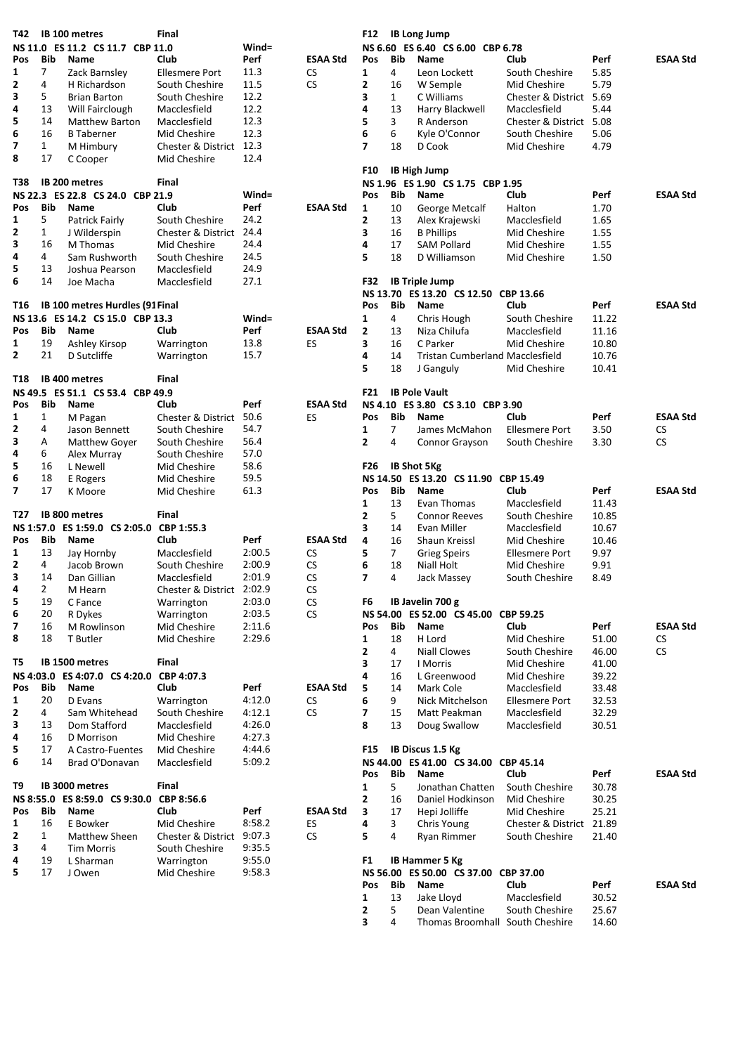| T42          |              | IB 100 metres                            | Final                     |          |                 | F12             |                | <b>IB Long Jump</b>                    |                          |       |                 |
|--------------|--------------|------------------------------------------|---------------------------|----------|-----------------|-----------------|----------------|----------------------------------------|--------------------------|-------|-----------------|
|              |              | NS 11.0 ES 11.2 CS 11.7 CBP 11.0         |                           | Wind=    |                 |                 |                | NS 6.60 ES 6.40 CS 6.00 CBP 6.78       |                          |       |                 |
| Pos          | Bib          | Name                                     | Club                      | Perf     | <b>ESAA Std</b> | Pos             | Bib            | <b>Name</b>                            | Club                     | Perf  | <b>ESAA Std</b> |
| 1            | 7            | Zack Barnsley                            | <b>Ellesmere Port</b>     | 11.3     | <b>CS</b>       | 1               | 4              | Leon Lockett                           | South Cheshire           | 5.85  |                 |
| 2            | 4            | H Richardson                             | South Cheshire            | 11.5     | <b>CS</b>       | 2               | 16             | W Semple                               | Mid Cheshire             | 5.79  |                 |
| 3            | 5            | <b>Brian Barton</b>                      | South Cheshire            | 12.2     |                 | 3               | $\mathbf{1}$   | C Williams                             | Chester & District 5.69  |       |                 |
| 4            |              |                                          |                           | 12.2     |                 |                 |                |                                        |                          |       |                 |
|              | 13           | Will Fairclough                          | Macclesfield              |          |                 | 4               | 13             | Harry Blackwell                        | Macclesfield             | 5.44  |                 |
| 5            | 14           | Matthew Barton                           | Macclesfield              | 12.3     |                 | 5               | 3              | R Anderson                             | Chester & District 5.08  |       |                 |
| 6            | 16           | <b>B</b> Taberner                        | Mid Cheshire              | 12.3     |                 | 6               | 6              | Kyle O'Connor                          | South Cheshire           | 5.06  |                 |
| 7            | $\mathbf{1}$ | M Himbury                                | Chester & District 12.3   |          |                 | $\overline{ }$  | 18             | D Cook                                 | Mid Cheshire             | 4.79  |                 |
| 8            | 17           | C Cooper                                 | Mid Cheshire              | 12.4     |                 |                 |                |                                        |                          |       |                 |
|              |              |                                          |                           |          |                 | F <sub>10</sub> |                | <b>IB High Jump</b>                    |                          |       |                 |
| T38          |              | <b>IB 200 metres</b>                     | Final                     |          |                 |                 |                | NS 1.96 ES 1.90 CS 1.75 CBP 1.95       |                          |       |                 |
|              |              | NS 22.3 ES 22.8 CS 24.0 CBP 21.9         |                           | Wind=    |                 | Pos             | Bib            | Name                                   | Club                     | Perf  | <b>ESAA Std</b> |
| Pos          | Bib          | Name                                     | Club                      | Perf     | <b>ESAA Std</b> | $\mathbf{1}$    | 10             | George Metcalf                         | Halton                   | 1.70  |                 |
| 1            | 5            |                                          | South Cheshire            | 24.2     |                 | 2               | 13             |                                        | Macclesfield             | 1.65  |                 |
|              |              | Patrick Fairly                           |                           |          |                 |                 |                | Alex Krajewski                         |                          |       |                 |
| 2            | 1            | J Wilderspin                             | Chester & District 24.4   |          |                 | 3               | 16             | <b>B</b> Phillips                      | Mid Cheshire             | 1.55  |                 |
| 3            | 16           | M Thomas                                 | Mid Cheshire              | 24.4     |                 | 4               | 17             | <b>SAM Pollard</b>                     | Mid Cheshire             | 1.55  |                 |
| 4            | 4            | Sam Rushworth                            | South Cheshire            | 24.5     |                 | 5               | 18             | D Williamson                           | Mid Cheshire             | 1.50  |                 |
| 5            | 13           | Joshua Pearson                           | Macclesfield              | 24.9     |                 |                 |                |                                        |                          |       |                 |
| 6            | 14           | Joe Macha                                | Macclesfield              | 27.1     |                 | F32             |                | <b>IB Triple Jump</b>                  |                          |       |                 |
|              |              |                                          |                           |          |                 |                 |                | NS 13.70 ES 13.20 CS 12.50 CBP 13.66   |                          |       |                 |
| T16          |              | IB 100 metres Hurdles (91 Final          |                           |          |                 | <b>Pos</b>      | <b>Bib</b>     | Name                                   | Club                     | Perf  | <b>ESAA Std</b> |
|              |              | NS 13.6 ES 14.2 CS 15.0 CBP 13.3         |                           | $Wind =$ |                 | 1               | 4              | Chris Hough                            | South Cheshire           | 11.22 |                 |
|              |              |                                          |                           |          |                 |                 |                |                                        |                          |       |                 |
| Pos          | Bib          | Name                                     | Club                      | Perf     | <b>ESAA Std</b> | $\mathbf{2}$    | 13             | Niza Chilufa                           | Macclesfield             | 11.16 |                 |
| 1            | 19           | Ashley Kirsop                            | Warrington                | 13.8     | ES              | 3               | 16             | C Parker                               | Mid Cheshire             | 10.80 |                 |
| $\mathbf{2}$ | 21           | D Sutcliffe                              | Warrington                | 15.7     |                 | 4               | 14             | <b>Tristan Cumberland Macclesfield</b> |                          | 10.76 |                 |
|              |              |                                          |                           |          |                 | 5               | 18             | J Ganguly                              | Mid Cheshire             | 10.41 |                 |
| T18          |              | IB 400 metres                            | Final                     |          |                 |                 |                |                                        |                          |       |                 |
|              |              | NS 49.5 ES 51.1 CS 53.4 CBP 49.9         |                           |          |                 | F <sub>21</sub> |                | <b>IB Pole Vault</b>                   |                          |       |                 |
| Pos          | Bib          | Name                                     | Club                      | Perf     | <b>ESAA Std</b> |                 |                | NS 4.10 ES 3.80 CS 3.10 CBP 3.90       |                          |       |                 |
| 1            | $\mathbf{1}$ | M Pagan                                  | Chester & District 50.6   |          | ES              | Pos             | Bib            | Name                                   | Club                     | Perf  | <b>ESAA Std</b> |
| $\mathbf{2}$ | 4            |                                          |                           | 54.7     |                 |                 |                |                                        |                          | 3.50  | <b>CS</b>       |
|              |              | Jason Bennett                            | South Cheshire            |          |                 | 1               | 7              | James McMahon                          | <b>Ellesmere Port</b>    |       |                 |
| 3            | Α            | Matthew Goyer                            | South Cheshire            | 56.4     |                 | $\mathbf{2}$    | 4              | Connor Grayson                         | South Cheshire           | 3.30  | <b>CS</b>       |
| 4            | 6            | Alex Murray                              | South Cheshire            | 57.0     |                 |                 |                |                                        |                          |       |                 |
| 5            | 16           | L Newell                                 | Mid Cheshire              | 58.6     |                 | F <sub>26</sub> |                | <b>IB Shot 5Kg</b>                     |                          |       |                 |
| 6            | 18           | E Rogers                                 | Mid Cheshire              | 59.5     |                 |                 |                | NS 14.50 ES 13.20 CS 11.90 CBP 15.49   |                          |       |                 |
| 7            | 17           | K Moore                                  | Mid Cheshire              | 61.3     |                 | Pos             | Bib            | <b>Name</b>                            | Club                     | Perf  | <b>ESAA Std</b> |
|              |              |                                          |                           |          |                 | 1               | 13             | Evan Thomas                            | Macclesfield             | 11.43 |                 |
| T27          |              | IB 800 metres                            | Final                     |          |                 | 2               | 5              | <b>Connor Reeves</b>                   | South Cheshire           | 10.85 |                 |
|              |              | NS 1:57.0 ES 1:59.0 CS 2:05.0            | CBP 1:55.3                |          |                 | 3               | 14             | Evan Miller                            | Macclesfield             | 10.67 |                 |
|              |              |                                          |                           |          |                 |                 |                |                                        |                          |       |                 |
| Pos          | Bib          | Name                                     | Club                      | Perf     | <b>ESAA Std</b> | 4               | 16             | Shaun Kreissl                          | Mid Cheshire             | 10.46 |                 |
| 1            | 13           | Jay Hornby                               | Macclesfield              | 2:00.5   | <b>CS</b>       | 5               | $\overline{7}$ | <b>Grieg Speirs</b>                    | <b>Ellesmere Port</b>    | 9.97  |                 |
| 2            | 4            | Jacob Brown                              | South Cheshire            | 2:00.9   | CS              | 6               | 18             | Niall Holt                             | Mid Cheshire             | 9.91  |                 |
| 3            | 14           | Dan Gillian                              | Macclesfield              | 2:01.9   | <b>CS</b>       | $\overline{7}$  | 4              | Jack Massey                            | South Cheshire           | 8.49  |                 |
| 4            | 2            | M Hearn                                  | Chester & District 2:02.9 |          | CS              |                 |                |                                        |                          |       |                 |
| 5            | 19           | C Fance                                  | Warrington                | 2:03.0   | <b>CS</b>       | F6              |                | IB Javelin 700 g                       |                          |       |                 |
| 6            | 20           | R Dykes                                  | Warrington                | 2:03.5   | CS.             |                 |                | NS 54.00 ES 52.00 CS 45.00 CBP 59.25   |                          |       |                 |
| 7            | 16           | M Rowlinson                              | Mid Cheshire              | 2:11.6   |                 | Pos             | Bib            | Name                                   | Club                     | Perf  | <b>ESAA Std</b> |
| 8            | 18           | T Butler                                 | Mid Cheshire              | 2:29.6   |                 |                 | 18             | H Lord                                 | Mid Cheshire             | 51.00 |                 |
|              |              |                                          |                           |          |                 | 1               |                |                                        |                          |       | CS              |
|              |              |                                          |                           |          |                 | 2               | 4              | Niall Clowes                           | South Cheshire           | 46.00 | CS.             |
| T5           |              | IB 1500 metres                           | Final                     |          |                 | 3               | 17             | I Morris                               | Mid Cheshire             | 41.00 |                 |
|              |              | NS 4:03.0 ES 4:07.0 CS 4:20.0 CBP 4:07.3 |                           |          |                 | 4               | 16             | L Greenwood                            | Mid Cheshire             | 39.22 |                 |
| Pos          | Bib          | Name                                     | Club                      | Perf     | <b>ESAA Std</b> | 5               | 14             | Mark Cole                              | Macclesfield             | 33.48 |                 |
| 1            | 20           | D Evans                                  | Warrington                | 4:12.0   | CS              | 6               | 9              | Nick Mitchelson                        | <b>Ellesmere Port</b>    | 32.53 |                 |
| 2            | 4            | Sam Whitehead                            | South Cheshire            | 4:12.1   | <b>CS</b>       | 7               | 15             | Matt Peakman                           | Macclesfield             | 32.29 |                 |
| 3            | 13           | Dom Stafford                             | Macclesfield              | 4:26.0   |                 | 8               | 13             | Doug Swallow                           | Macclesfield             | 30.51 |                 |
| 4            | 16           | D Morrison                               | Mid Cheshire              | 4:27.3   |                 |                 |                |                                        |                          |       |                 |
|              |              |                                          |                           |          |                 |                 |                | IB Discus 1.5 Kg                       |                          |       |                 |
| 5            | 17           | A Castro-Fuentes                         | Mid Cheshire              | 4:44.6   |                 | F15             |                |                                        |                          |       |                 |
| 6            | 14           | Brad O'Donavan                           | Macclesfield              | 5:09.2   |                 |                 |                | NS 44.00 ES 41.00 CS 34.00 CBP 45.14   |                          |       |                 |
|              |              |                                          |                           |          |                 | Pos             | Bib            | Name                                   | Club                     | Perf  | <b>ESAA Std</b> |
| T9           |              | IB 3000 metres                           | Final                     |          |                 | 1               | 5              | Jonathan Chatten                       | South Cheshire           | 30.78 |                 |
|              |              | NS 8:55.0 ES 8:59.0 CS 9:30.0            | CBP 8:56.6                |          |                 | 2               | 16             | Daniel Hodkinson                       | Mid Cheshire             | 30.25 |                 |
| Pos          | Bib          | Name                                     | Club                      | Perf     | <b>ESAA Std</b> | 3               | 17             | Hepi Jolliffe                          | Mid Cheshire             | 25.21 |                 |
| 1            | 16           | E Bowker                                 | Mid Cheshire              | 8:58.2   | ES              | 4               | 3              | Chris Young                            | Chester & District 21.89 |       |                 |
| 2            | $\mathbf{1}$ | Matthew Sheen                            | Chester & District 9:07.3 |          | CS.             | 5               | 4              | Ryan Rimmer                            | South Cheshire           | 21.40 |                 |
| 3            | 4            | <b>Tim Morris</b>                        |                           | 9:35.5   |                 |                 |                |                                        |                          |       |                 |
|              |              |                                          | South Cheshire            |          |                 |                 |                |                                        |                          |       |                 |
| 4            | 19           | L Sharman                                | Warrington                | 9:55.0   |                 | F1              |                | IB Hammer 5 Kg                         |                          |       |                 |
| 5            | 17           | J Owen                                   | Mid Cheshire              | 9:58.3   |                 |                 |                | NS 56.00 ES 50.00 CS 37.00 CBP 37.00   |                          |       |                 |
|              |              |                                          |                           |          |                 | Pos             | Bib            | Name                                   | Club                     | Perf  | <b>ESAA Std</b> |
|              |              |                                          |                           |          |                 | 1               | 13             | Jake Lloyd                             | Macclesfield             | 30.52 |                 |
|              |              |                                          |                           |          |                 | 2               | 5              | Dean Valentine                         | South Cheshire           | 25.67 |                 |
|              |              |                                          |                           |          |                 | 3               | 4              | Thomas Broomhall South Cheshire        |                          | 14.60 |                 |
|              |              |                                          |                           |          |                 |                 |                |                                        |                          |       |                 |